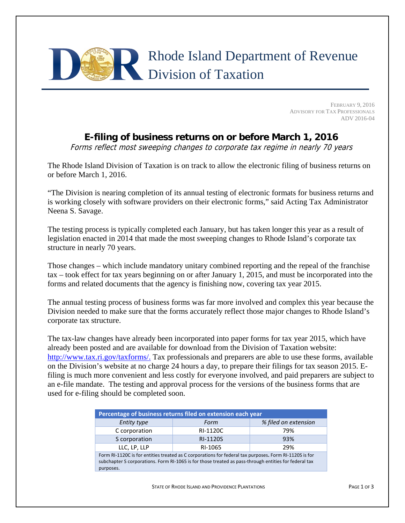## Rhode Island Department of Revenue Division of Taxation

FEBRUARY 9, 2016 ADVISORY FOR TAX PROFESSIONALS ADV 2016-04

## **E-filing of business returns on or before March 1, 2016**

Forms reflect most sweeping changes to corporate tax regime in nearly 70 years

The Rhode Island Division of Taxation is on track to allow the electronic filing of business returns on or before March 1, 2016.

"The Division is nearing completion of its annual testing of electronic formats for business returns and is working closely with software providers on their electronic forms," said Acting Tax Administrator Neena S. Savage.

The testing process is typically completed each January, but has taken longer this year as a result of legislation enacted in 2014 that made the most sweeping changes to Rhode Island's corporate tax structure in nearly 70 years.

Those changes – which include mandatory unitary combined reporting and the repeal of the franchise tax – took effect for tax years beginning on or after January 1, 2015, and must be incorporated into the forms and related documents that the agency is finishing now, covering tax year 2015.

The annual testing process of business forms was far more involved and complex this year because the Division needed to make sure that the forms accurately reflect those major changes to Rhode Island's corporate tax structure.

The tax-law changes have already been incorporated into paper forms for tax year 2015, which have already been posted and are available for download from the Division of Taxation website: http://www.tax.ri.gov/taxforms/. Tax professionals and preparers are able to use these forms, available on the Division's website at no charge 24 hours a day, to prepare their filings for tax season 2015. Efiling is much more convenient and less costly for everyone involved, and paid preparers are subject to an e-file mandate. The testing and approval process for the versions of the business forms that are used for e-filing should be completed soon.

| Percentage of business returns filed on extension each year                                            |          |                      |  |
|--------------------------------------------------------------------------------------------------------|----------|----------------------|--|
| <b>Entity type</b>                                                                                     | Form     | % filed on extension |  |
| C corporation                                                                                          | RI-1120C | 79%                  |  |
| S corporation                                                                                          | RI-1120S | 93%                  |  |
| LLC, LP, LLP                                                                                           | RI-1065  | 29%                  |  |
| Form RI-1120C is for entities treated as C corporations for federal tax purposes. Form RI-1120S is for |          |                      |  |
| subchapter S corporations. Form RI-1065 is for those treated as pass-through entities for federal tax  |          |                      |  |
| purposes.                                                                                              |          |                      |  |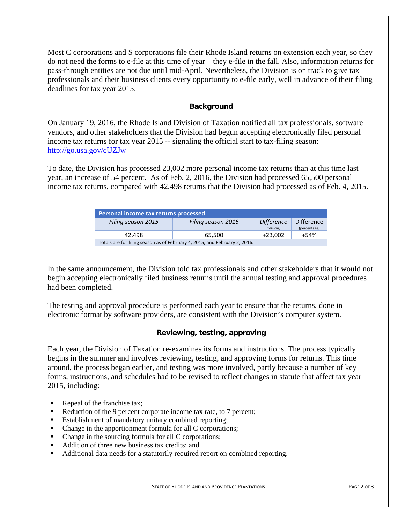Most C corporations and S corporations file their Rhode Island returns on extension each year, so they do not need the forms to e-file at this time of year – they e-file in the fall. Also, information returns for pass-through entities are not due until mid-April. Nevertheless, the Division is on track to give tax professionals and their business clients every opportunity to e-file early, well in advance of their filing deadlines for tax year 2015.

## **Background**

On January 19, 2016, the Rhode Island Division of Taxation notified all tax professionals, software vendors, and other stakeholders that the Division had begun accepting electronically filed personal income tax returns for tax year 2015 -- signaling the official start to tax-filing season: http://go.usa.gov/cUZJw

To date, the Division has processed 23,002 more personal income tax returns than at this time last year, an increase of 54 percent. As of Feb. 2, 2016, the Division had processed 65,500 personal income tax returns, compared with 42,498 returns that the Division had processed as of Feb. 4, 2015.

| Personal income tax returns processed |                                                                            |                   |              |  |
|---------------------------------------|----------------------------------------------------------------------------|-------------------|--------------|--|
| Filing season 2015                    | Filing season 2016                                                         | <b>Difference</b> | Difference   |  |
|                                       |                                                                            | (returns)         | (percentage) |  |
| 42.498                                | 65.500                                                                     | $+23.002$         | $+54%$       |  |
|                                       | Totals are for filing season as of February 4, 2015, and February 2, 2016. |                   |              |  |

In the same announcement, the Division told tax professionals and other stakeholders that it would not begin accepting electronically filed business returns until the annual testing and approval procedures had been completed.

The testing and approval procedure is performed each year to ensure that the returns, done in electronic format by software providers, are consistent with the Division's computer system.

## **Reviewing, testing, approving**

Each year, the Division of Taxation re-examines its forms and instructions. The process typically begins in the summer and involves reviewing, testing, and approving forms for returns. This time around, the process began earlier, and testing was more involved, partly because a number of key forms, instructions, and schedules had to be revised to reflect changes in statute that affect tax year 2015, including:

- Repeal of the franchise tax;
- Reduction of the 9 percent corporate income tax rate, to 7 percent;
- **Establishment of mandatory unitary combined reporting;**
- Change in the apportionment formula for all C corporations;
- Change in the sourcing formula for all C corporations;
- Addition of three new business tax credits; and
- Additional data needs for a statutorily required report on combined reporting.